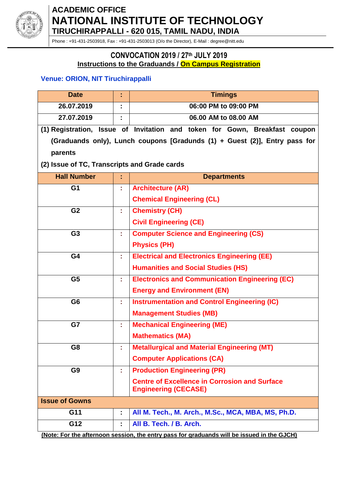

# **ACADEMIC OFFICE NATIONAL INSTITUTE OF TECHNOLOGY TIRUCHIRAPPALLI - 620 015, TAMIL NADU, INDIA**

Phone : +91-431-2503918, Fax : +91-431-2503013 (O/o the Director), E-Mail : degree@nitt.edu

#### **CONVOCATION 2019 / 27 th JULY 2019 Instructions to the Graduands / On Campus Registration**

### **Venue: ORION, NIT Tiruchirappalli**

| <b>Date</b>                                  | t  | <b>Timings</b>                                                                             |  |  |
|----------------------------------------------|----|--------------------------------------------------------------------------------------------|--|--|
| 26.07.2019                                   | ٠  | 06:00 PM to 09:00 PM                                                                       |  |  |
| 27.07.2019                                   |    | 06.00 AM to 08.00 AM                                                                       |  |  |
|                                              |    | (1) Registration, Issue of Invitation and token for Gown, Breakfast coupon                 |  |  |
|                                              |    | (Graduands only), Lunch coupons [Gradunds (1) + Guest (2)], Entry pass for                 |  |  |
| parents                                      |    |                                                                                            |  |  |
| (2) Issue of TC, Transcripts and Grade cards |    |                                                                                            |  |  |
| <b>Hall Number</b>                           |    | <b>Departments</b>                                                                         |  |  |
| G <sub>1</sub>                               | ř, | <b>Architecture (AR)</b>                                                                   |  |  |
|                                              |    | <b>Chemical Engineering (CL)</b>                                                           |  |  |
| G <sub>2</sub>                               | ÷. | <b>Chemistry (CH)</b>                                                                      |  |  |
|                                              |    | <b>Civil Engineering (CE)</b>                                                              |  |  |
| G <sub>3</sub>                               | ÷, | <b>Computer Science and Engineering (CS)</b>                                               |  |  |
|                                              |    | <b>Physics (PH)</b>                                                                        |  |  |
| G4                                           |    | <b>Electrical and Electronics Engineering (EE)</b>                                         |  |  |
|                                              |    | <b>Humanities and Social Studies (HS)</b>                                                  |  |  |
| G <sub>5</sub>                               | ÷. | <b>Electronics and Communication Engineering (EC)</b>                                      |  |  |
|                                              |    | <b>Energy and Environment (EN)</b>                                                         |  |  |
| G <sub>6</sub>                               | t. | <b>Instrumentation and Control Engineering (IC)</b>                                        |  |  |
|                                              |    | <b>Management Studies (MB)</b>                                                             |  |  |
| G7                                           | t, | <b>Mechanical Engineering (ME)</b>                                                         |  |  |
|                                              |    | <b>Mathematics (MA)</b>                                                                    |  |  |
| G8                                           | t  | <b>Metallurgical and Material Engineering (MT)</b>                                         |  |  |
|                                              |    | <b>Computer Applications (CA)</b>                                                          |  |  |
| G <sub>9</sub>                               | t, | <b>Production Engineering (PR)</b>                                                         |  |  |
|                                              |    | <b>Centre of Excellence in Corrosion and Surface</b><br><b>Engineering (CECASE)</b>        |  |  |
| <b>Issue of Gowns</b>                        |    |                                                                                            |  |  |
| G11                                          | t, | All M. Tech., M. Arch., M.Sc., MCA, MBA, MS, Ph.D.                                         |  |  |
| G12                                          |    | All B. Tech. / B. Arch.                                                                    |  |  |
|                                              |    | (Note: For the afternoon session, the entry pass for graduands will be issued in the GJCH) |  |  |